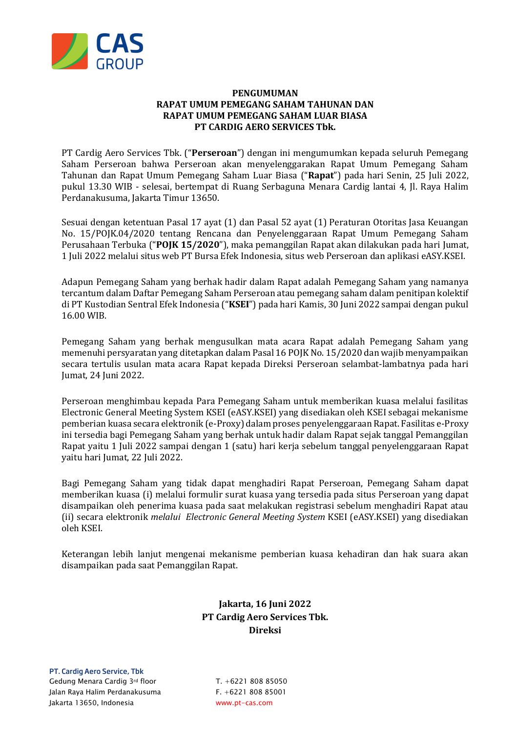

## **PENGUMUMAN RAPAT UMUM PEMEGANG SAHAM TAHUNAN DAN RAPAT UMUM PEMEGANG SAHAM LUAR BIASA PT CARDIG AERO SERVICES Tbk.**

PT Cardig Aero Services Tbk. ("**Perseroan**") dengan ini mengumumkan kepada seluruh Pemegang Saham Perseroan bahwa Perseroan akan menyelenggarakan Rapat Umum Pemegang Saham Tahunan dan Rapat Umum Pemegang Saham Luar Biasa ("**Rapat**") pada hari Senin, 25 Juli 2022, pukul 13.30 WIB - selesai, bertempat di Ruang Serbaguna Menara Cardig lantai 4, Jl. Raya Halim Perdanakusuma, Jakarta Timur 13650.

Sesuai dengan ketentuan Pasal 17 ayat (1) dan Pasal 52 ayat (1) Peraturan Otoritas Jasa Keuangan No. 15/POJK.04/2020 tentang Rencana dan Penyelenggaraan Rapat Umum Pemegang Saham Perusahaan Terbuka ("**POJK 15/2020**"), maka pemanggilan Rapat akan dilakukan pada hari Jumat, 1 Juli 2022 melalui situs web PT Bursa Efek Indonesia, situs web Perseroan dan aplikasi eASY.KSEI.

Adapun Pemegang Saham yang berhak hadir dalam Rapat adalah Pemegang Saham yang namanya tercantum dalam Daftar Pemegang Saham Perseroan atau pemegang saham dalam penitipan kolektif di PT Kustodian Sentral Efek Indonesia ("**KSEI**") pada hari Kamis, 30 Juni 2022 sampai dengan pukul 16.00 WIB.

Pemegang Saham yang berhak mengusulkan mata acara Rapat adalah Pemegang Saham yang memenuhi persyaratan yang ditetapkan dalam Pasal 16 POJK No. 15/2020 dan wajib menyampaikan secara tertulis usulan mata acara Rapat kepada Direksi Perseroan selambat-lambatnya pada hari Jumat, 24 Juni 2022.

Perseroan menghimbau kepada Para Pemegang Saham untuk memberikan kuasa melalui fasilitas Electronic General Meeting System KSEI (eASY.KSEI) yang disediakan oleh KSEI sebagai mekanisme pemberian kuasa secara elektronik (e-Proxy) dalam proses penyelenggaraan Rapat. Fasilitas e-Proxy ini tersedia bagi Pemegang Saham yang berhak untuk hadir dalam Rapat sejak tanggal Pemanggilan Rapat yaitu 1 Juli 2022 sampai dengan 1 (satu) hari kerja sebelum tanggal penyelenggaraan Rapat yaitu hari Jumat, 22 Juli 2022.

Bagi Pemegang Saham yang tidak dapat menghadiri Rapat Perseroan, Pemegang Saham dapat memberikan kuasa (i) melalui formulir surat kuasa yang tersedia pada situs Perseroan yang dapat disampaikan oleh penerima kuasa pada saat melakukan registrasi sebelum menghadiri Rapat atau (ii) secara elektronik *melalui Electronic General Meeting System* KSEI (eASY.KSEI) yang disediakan oleh KSEI.

Keterangan lebih lanjut mengenai mekanisme pemberian kuasa kehadiran dan hak suara akan disampaikan pada saat Pemanggilan Rapat.

## **Jakarta, 16 Juni 2022 PT Cardig Aero Services Tbk. Direksi**